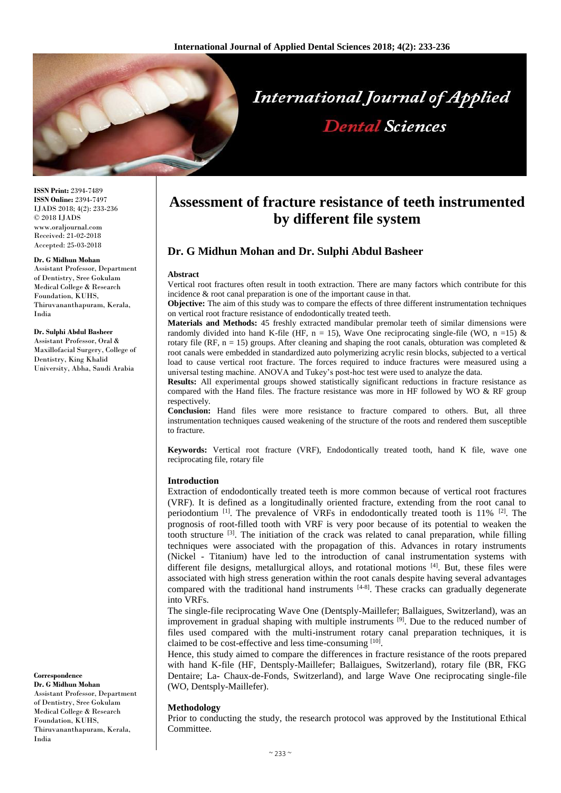

**ISSN Print:** 2394-7489 **ISSN Online:** 2394-7497 IJADS 2018; 4(2): 233-236 © 2018 IJADS www.oraljournal.com Received: 21-02-2018 Accepted: 25-03-2018

#### **Dr. G Midhun Mohan**

Assistant Professor, Department of Dentistry, Sree Gokulam Medical College & Research Foundation, KUHS, Thiruvananthapuram, Kerala, India

#### **Dr. Sulphi Abdul Basheer**

Assistant Professor, Oral & Maxillofacial Surgery, College of Dentistry, King Khalid University, Abha, Saudi Arabia

# **Correspondence**

**Dr. G Midhun Mohan** Assistant Professor, Department of Dentistry, Sree Gokulam Medical College & Research Foundation, KUHS, Thiruvananthapuram, Kerala, India

# **Assessment of fracture resistance of teeth instrumented by different file system**

# **Dr. G Midhun Mohan and Dr. Sulphi Abdul Basheer**

#### **Abstract**

Vertical root fractures often result in tooth extraction. There are many factors which contribute for this incidence & root canal preparation is one of the important cause in that.

**Objective:** The aim of this study was to compare the effects of three different instrumentation techniques on vertical root fracture resistance of endodontically treated teeth.

**Materials and Methods:** 45 freshly extracted mandibular premolar teeth of similar dimensions were randomly divided into hand K-file (HF,  $n = 15$ ), Wave One reciprocating single-file (WO,  $n = 15$ ) & rotary file (RF, n = 15) groups. After cleaning and shaping the root canals, obturation was completed  $\&$ root canals were embedded in standardized auto polymerizing acrylic resin blocks, subjected to a vertical load to cause vertical root fracture. The forces required to induce fractures were measured using a universal testing machine. ANOVA and Tukey's post-hoc test were used to analyze the data.

**Results:** All experimental groups showed statistically significant reductions in fracture resistance as compared with the Hand files. The fracture resistance was more in HF followed by WO  $\&$  RF group respectively.

**Conclusion:** Hand files were more resistance to fracture compared to others. But, all three instrumentation techniques caused weakening of the structure of the roots and rendered them susceptible to fracture.

**Keywords:** Vertical root fracture (VRF), Endodontically treated tooth, hand K file, wave one reciprocating file, rotary file

#### **Introduction**

Extraction of endodontically treated teeth is more common because of vertical root fractures (VRF). It is defined as a longitudinally oriented fracture, extending from the root canal to periodontium <sup>[1]</sup>. The prevalence of VRFs in endodontically treated tooth is 11% <sup>[2]</sup>. The prognosis of root-filled tooth with VRF is very poor because of its potential to weaken the tooth structure [3]. The initiation of the crack was related to canal preparation, while filling techniques were associated with the propagation of this. Advances in rotary instruments (Nickel - Titanium) have led to the introduction of canal instrumentation systems with different file designs, metallurgical alloys, and rotational motions [4]. But, these files were associated with high stress generation within the root canals despite having several advantages compared with the traditional hand instruments  $[4-8]$ . These cracks can gradually degenerate into VRFs.

The single-file reciprocating Wave One (Dentsply-Maillefer; Ballaigues, Switzerland), was an improvement in gradual shaping with multiple instruments  $[9]$ . Due to the reduced number of files used compared with the multi-instrument rotary canal preparation techniques, it is claimed to be cost-effective and less time-consuming [10].

Hence, this study aimed to compare the differences in fracture resistance of the roots prepared with hand K-file (HF, Dentsply-Maillefer; Ballaigues, Switzerland), rotary file (BR, FKG Dentaire; La- Chaux-de-Fonds, Switzerland), and large Wave One reciprocating single-file (WO, Dentsply-Maillefer).

### **Methodology**

Prior to conducting the study, the research protocol was approved by the Institutional Ethical Committee.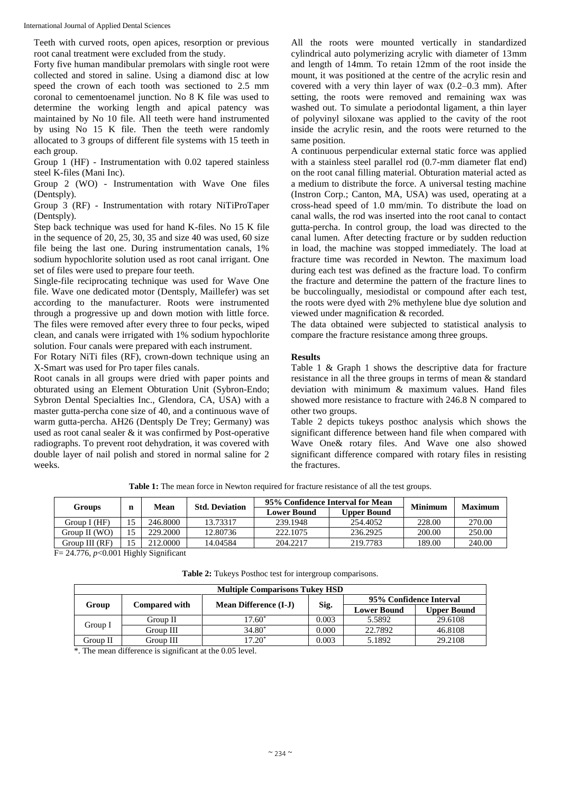International Journal of Applied Dental Sciences

Teeth with curved roots, open apices, resorption or previous root canal treatment were excluded from the study.

Forty five human mandibular premolars with single root were collected and stored in saline. Using a diamond disc at low speed the crown of each tooth was sectioned to 2.5 mm coronal to cementoenamel junction. No 8 K file was used to determine the working length and apical patency was maintained by No 10 file. All teeth were hand instrumented by using No 15 K file. Then the teeth were randomly allocated to 3 groups of different file systems with 15 teeth in each group.

Group 1 (HF) - Instrumentation with 0.02 tapered stainless steel K-files (Mani Inc).

Group 2 (WO) - Instrumentation with Wave One files (Dentsply).

Group 3 (RF) - Instrumentation with rotary NiTiProTaper (Dentsply).

Step back technique was used for hand K-files. No 15 K file in the sequence of 20, 25, 30, 35 and size 40 was used, 60 size file being the last one. During instrumentation canals, 1% sodium hypochlorite solution used as root canal irrigant. One set of files were used to prepare four teeth.

Single-file reciprocating technique was used for Wave One file. Wave one dedicated motor (Dentsply, Maillefer) was set according to the manufacturer. Roots were instrumented through a progressive up and down motion with little force. The files were removed after every three to four pecks, wiped clean, and canals were irrigated with 1% sodium hypochlorite solution. Four canals were prepared with each instrument.

For Rotary NiTi files (RF), crown-down technique using an X-Smart was used for Pro taper files canals.

Root canals in all groups were dried with paper points and obturated using an Element Obturation Unit (Sybron-Endo; Sybron Dental Specialties Inc., Glendora, CA, USA) with a master gutta-percha cone size of 40, and a continuous wave of warm gutta-percha. AH26 (Dentsply De Trey; Germany) was used as root canal sealer & it was confirmed by Post-operative radiographs. To prevent root dehydration, it was covered with double layer of nail polish and stored in normal saline for 2 weeks.

All the roots were mounted vertically in standardized cylindrical auto polymerizing acrylic with diameter of 13mm and length of 14mm. To retain 12mm of the root inside the mount, it was positioned at the centre of the acrylic resin and covered with a very thin layer of wax (0.2–0.3 mm). After setting, the roots were removed and remaining wax was washed out. To simulate a periodontal ligament, a thin layer of polyvinyl siloxane was applied to the cavity of the root inside the acrylic resin, and the roots were returned to the same position.

A continuous perpendicular external static force was applied with a stainless steel parallel rod (0.7-mm diameter flat end) on the root canal filling material. Obturation material acted as a medium to distribute the force. A universal testing machine (Instron Corp.; Canton, MA, USA) was used, operating at a cross-head speed of 1.0 mm/min. To distribute the load on canal walls, the rod was inserted into the root canal to contact gutta-percha. In control group, the load was directed to the canal lumen. After detecting fracture or by sudden reduction in load, the machine was stopped immediately. The load at fracture time was recorded in Newton. The maximum load during each test was defined as the fracture load. To confirm the fracture and determine the pattern of the fracture lines to be buccolingually, mesiodistal or compound after each test, the roots were dyed with 2% methylene blue dye solution and viewed under magnification & recorded.

The data obtained were subjected to statistical analysis to compare the fracture resistance among three groups.

# **Results**

Table 1 & Graph 1 shows the descriptive data for fracture resistance in all the three groups in terms of mean & standard deviation with minimum & maximum values. Hand files showed more resistance to fracture with 246.8 N compared to other two groups.

Table 2 depicts tukeys posthoc analysis which shows the significant difference between hand file when compared with Wave One& rotary files. And Wave one also showed significant difference compared with rotary files in resisting the fractures.

| Groups         | n  | Mean     | <b>Std. Deviation</b> | 95% Confidence Interval for Mean |                    | Minimum | <b>Maximum</b> |
|----------------|----|----------|-----------------------|----------------------------------|--------------------|---------|----------------|
|                |    |          |                       | <b>Lower Bound</b>               | <b>Upper Bound</b> |         |                |
| Group I (HF)   | 15 | 246.8000 | 13.73317              | 239.1948                         | 254.4052           | 228.00  | 270.00         |
| Group II (WO)  | 15 | 229.2000 | 12.80736              | 222, 1075                        | 236.2925           | 200.00  | 250.00         |
| Group III (RF) | 15 | 212,0000 | 14.04584              | 204.2217                         | 219.7783           | 189.00  | 240.00         |

**Table 1:** The mean force in Newton required for fracture resistance of all the test groups.

F= 24.776, *p*<0.001 Highly Significant

**Table 2:** Tukeys Posthoc test for intergroup comparisons.

| <b>Multiple Comparisons Tukey HSD</b> |                      |                              |       |                         |                    |  |  |  |  |  |
|---------------------------------------|----------------------|------------------------------|-------|-------------------------|--------------------|--|--|--|--|--|
|                                       | <b>Compared with</b> | <b>Mean Difference (I-J)</b> | Sig.  | 95% Confidence Interval |                    |  |  |  |  |  |
| Group                                 |                      |                              |       | <b>Lower Bound</b>      | <b>Upper Bound</b> |  |  |  |  |  |
| Group I                               | Group II             | $17.60*$                     | 0.003 | 5.5892                  | 29.6108            |  |  |  |  |  |
|                                       | Group III            | $34.80*$                     | 0.000 | 22.7892                 | 46.8108            |  |  |  |  |  |
| Group II                              | Group III            | $17.20^*$                    | 0.003 | 5.1892                  | 29.2108            |  |  |  |  |  |

\*. The mean difference is significant at the 0.05 level.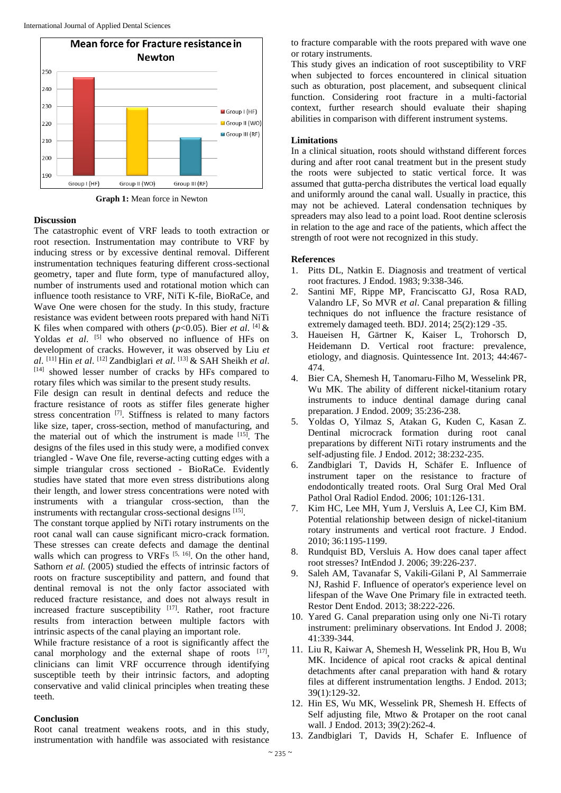

**Graph 1:** Mean force in Newton

# **Discussion**

The catastrophic event of VRF leads to tooth extraction or root resection. Instrumentation may contribute to VRF by inducing stress or by excessive dentinal removal. Different instrumentation techniques featuring different cross-sectional geometry, taper and flute form, type of manufactured alloy, number of instruments used and rotational motion which can influence tooth resistance to VRF, NiTi K-file, BioRaCe, and Wave One were chosen for the study. In this study, fracture resistance was evident between roots prepared with hand NiTi K files when compared with others  $(p<0.05)$ . Bier *et al.* [4] & Yoldas et al. <sup>[5]</sup> who observed no influence of HFs on development of cracks. However, it was observed by Liu *et al*. [11] Hin *et al*. [12] Zandbiglari *et al*. [13] & SAH Sheikh *et al*. [14] showed lesser number of cracks by HFs compared to rotary files which was similar to the present study results.

File design can result in dentinal defects and reduce the fracture resistance of roots as stiffer files generate higher stress concentration [7]. Stiffness is related to many factors like size, taper, cross-section, method of manufacturing, and the material out of which the instrument is made [15] . The designs of the files used in this study were, a modified convex triangled - Wave One file, reverse-acting cutting edges with a simple triangular cross sectioned - BioRaCe. Evidently studies have stated that more even stress distributions along their length, and lower stress concentrations were noted with instruments with a triangular cross-section, than the instruments with rectangular cross-sectional designs [15].

The constant torque applied by NiTi rotary instruments on the root canal wall can cause significant micro-crack formation. These stresses can create defects and damage the dentinal walls which can progress to VRFs  $[5, 16]$ . On the other hand, Sathorn *et al.* (2005) studied the effects of intrinsic factors of roots on fracture susceptibility and pattern, and found that dentinal removal is not the only factor associated with reduced fracture resistance, and does not always result in increased fracture susceptibility  $[17]$ . Rather, root fracture results from interaction between multiple factors with intrinsic aspects of the canal playing an important role.

While fracture resistance of a root is significantly affect the canal morphology and the external shape of roots [17], clinicians can limit VRF occurrence through identifying susceptible teeth by their intrinsic factors, and adopting conservative and valid clinical principles when treating these teeth.

# **Conclusion**

Root canal treatment weakens roots, and in this study, instrumentation with handfile was associated with resistance to fracture comparable with the roots prepared with wave one or rotary instruments.

This study gives an indication of root susceptibility to VRF when subjected to forces encountered in clinical situation such as obturation, post placement, and subsequent clinical function. Considering root fracture in a multi-factorial context, further research should evaluate their shaping abilities in comparison with different instrument systems.

# **Limitations**

In a clinical situation, roots should withstand different forces during and after root canal treatment but in the present study the roots were subjected to static vertical force. It was assumed that gutta-percha distributes the vertical load equally and uniformly around the canal wall. Usually in practice, this may not be achieved. Lateral condensation techniques by spreaders may also lead to a point load. Root dentine sclerosis in relation to the age and race of the patients, which affect the strength of root were not recognized in this study.

# **References**

- 1. Pitts DL, Natkin E. Diagnosis and treatment of vertical root fractures. J Endod. 1983; 9:338-346.
- 2. Santini MF, Rippe MP, Franciscatto GJ, Rosa RAD, Valandro LF, So MVR *et al*. Canal preparation & filling techniques do not influence the fracture resistance of extremely damaged teeth. BDJ. 2014; 25(2):129 -35.
- 3. Haueisen H, Gärtner K, Kaiser L, Trohorsch D, Heidemann D. Vertical root fracture: prevalence, etiology, and diagnosis. Quintessence Int. 2013; 44:467- 474.
- 4. Bier CA, Shemesh H, Tanomaru-Filho M, Wesselink PR, Wu MK. The ability of different nickel-titanium rotary instruments to induce dentinal damage during canal preparation. J Endod. 2009; 35:236-238.
- 5. Yoldas O, Yilmaz S, Atakan G, Kuden C, Kasan Z. Dentinal microcrack formation during root canal preparations by different NiTi rotary instruments and the self-adjusting file. J Endod. 2012; 38:232-235.
- 6. Zandbiglari T, Davids H, Schäfer E. Influence of instrument taper on the resistance to fracture of endodontically treated roots. Oral Surg Oral Med Oral Pathol Oral Radiol Endod. 2006; 101:126-131.
- 7. Kim HC, Lee MH, Yum J, Versluis A, Lee CJ, Kim BM. Potential relationship between design of nickel-titanium rotary instruments and vertical root fracture. J Endod. 2010; 36:1195-1199.
- 8. Rundquist BD, Versluis A. How does canal taper affect root stresses? IntEndod J. 2006; 39:226-237.
- 9. Saleh AM, Tavanafar S, Vakili-Gilani P, Al Sammerraie NJ, Rashid F. Influence of operator's experience level on lifespan of the Wave One Primary file in extracted teeth. Restor Dent Endod. 2013; 38:222-226.
- 10. Yared G. Canal preparation using only one Ni-Ti rotary instrument: preliminary observations. Int Endod J. 2008; 41:339-344.
- 11. Liu R, Kaiwar A, Shemesh H, Wesselink PR, Hou B, Wu MK. Incidence of apical root cracks & apical dentinal detachments after canal preparation with hand & rotary files at different instrumentation lengths. J Endod. 2013; 39(1):129-32.
- 12. Hin ES, Wu MK, Wesselink PR, Shemesh H. Effects of Self adjusting file, Mtwo & Protaper on the root canal wall. J Endod. 2013; 39(2):262-4.
- 13. Zandbiglari T, Davids H, Schafer E. Influence of